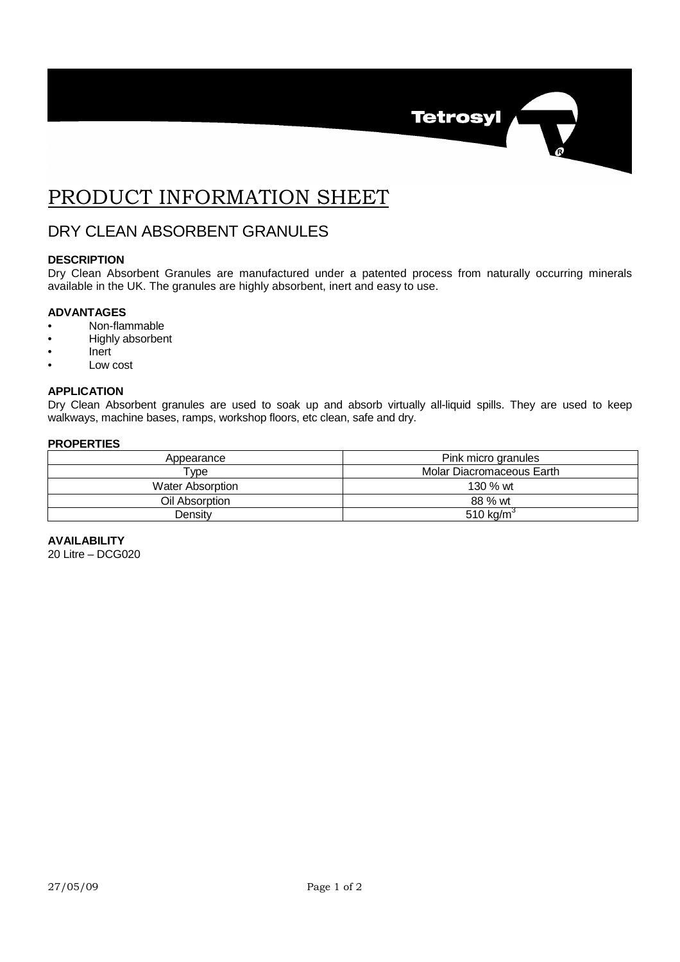

# PRODUCT INFORMATION SHEET

# DRY CLEAN ABSORBENT GRANULES

## **DESCRIPTION**

Dry Clean Absorbent Granules are manufactured under a patented process from naturally occurring minerals available in the UK. The granules are highly absorbent, inert and easy to use.

### **ADVANTAGES**

- Non-flammable
- Highly absorbent
- Inert
- Low cost

#### **APPLICATION**

Dry Clean Absorbent granules are used to soak up and absorb virtually all-liquid spills. They are used to keep walkways, machine bases, ramps, workshop floors, etc clean, safe and dry.

## **PROPERTIES**

| Appearance              | Pink micro granules       |
|-------------------------|---------------------------|
| $^{\mathsf{T}}$ vpe     | Molar Diacromaceous Earth |
| <b>Water Absorption</b> | 130 $%$ wt                |
| Oil Absorption          | 88 % wt                   |
| Densitv                 | 510 kg/m <sup>3</sup>     |

**AVAILABILITY** 20 Litre – DCG020